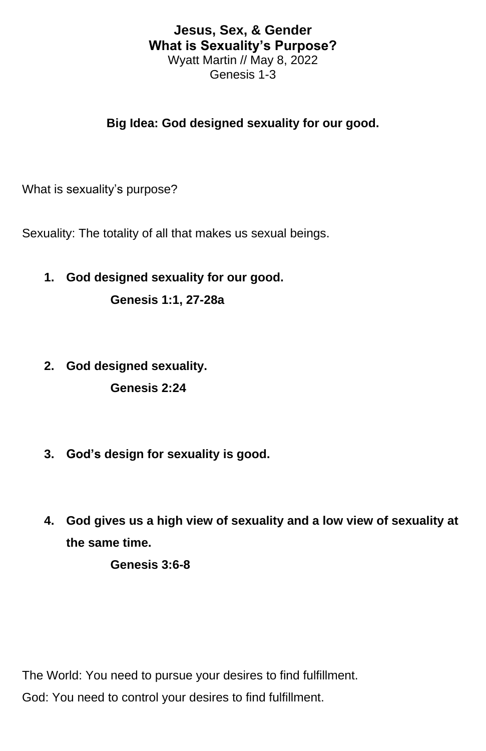## **Jesus, Sex, & Gender What is Sexuality's Purpose?** Wyatt Martin // May 8, 2022

Genesis 1-3

## **Big Idea: God designed sexuality for our good.**

What is sexuality's purpose?

Sexuality: The totality of all that makes us sexual beings.

**1. God designed sexuality for our good.**

**Genesis 1:1, 27-28a**

- **2. God designed sexuality. Genesis 2:24**
- **3. God's design for sexuality is good.**
- **4. God gives us a high view of sexuality and a low view of sexuality at the same time.**

**Genesis 3:6-8**

The World: You need to pursue your desires to find fulfillment. God: You need to control your desires to find fulfillment.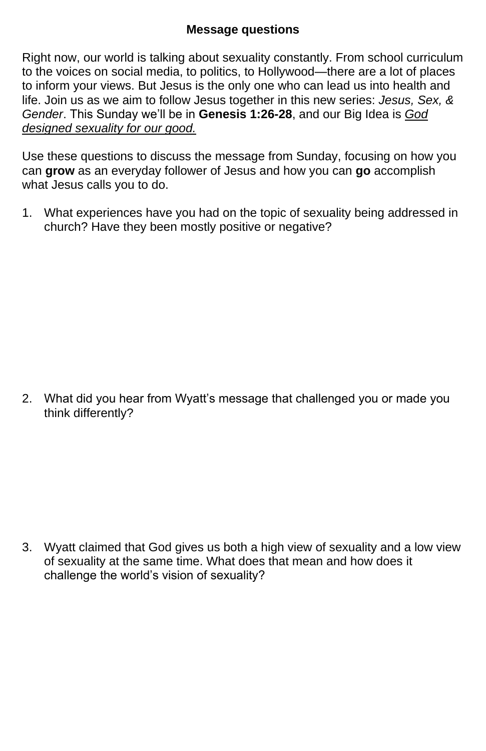## **Message questions**

Right now, our world is talking about sexuality constantly. From school curriculum to the voices on social media, to politics, to Hollywood—there are a lot of places to inform your views. But Jesus is the only one who can lead us into health and life. Join us as we aim to follow Jesus together in this new series: *Jesus, Sex, & Gender*. This Sunday we'll be in **Genesis 1:26-28**, and our Big Idea is *God designed sexuality for our good.*

Use these questions to discuss the message from Sunday, focusing on how you can **grow** as an everyday follower of Jesus and how you can **go** accomplish what Jesus calls you to do.

1. What experiences have you had on the topic of sexuality being addressed in church? Have they been mostly positive or negative?

2. What did you hear from Wyatt's message that challenged you or made you think differently?

3. Wyatt claimed that God gives us both a high view of sexuality and a low view of sexuality at the same time. What does that mean and how does it challenge the world's vision of sexuality?